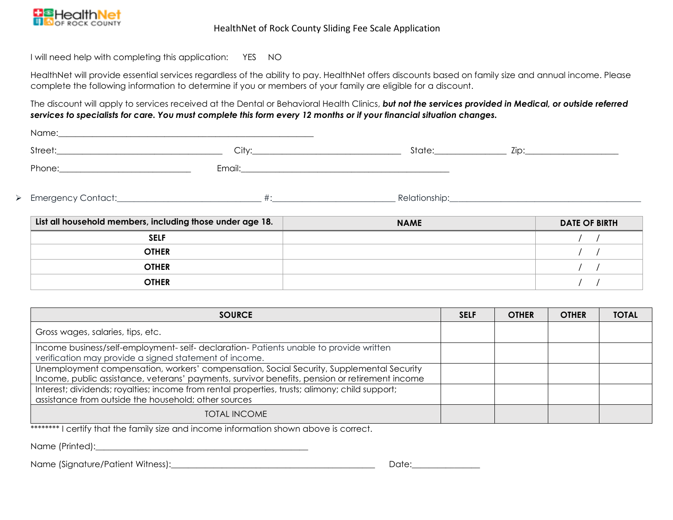

#### HealthNet of Rock County Sliding Fee Scale Application

I will need help with completing this application: YES NO

HealthNet will provide essential services regardless of the ability to pay. HealthNet offers discounts based on family size and annual income. Please complete the following information to determine if you or members of your family are eligible for a discount.

The discount will apply to services received at the Dental or Behavioral Health Clinics, *but not the services provided in Medical, or outside referred services to specialists for care. You must complete this form every 12 months or if your financial situation changes.*

| <b>SELF</b>                                                                                                                                                                                                                   |       |             |                      |  |
|-------------------------------------------------------------------------------------------------------------------------------------------------------------------------------------------------------------------------------|-------|-------------|----------------------|--|
| List all household members, including those under age 18.                                                                                                                                                                     |       | <b>NAME</b> | <b>DATE OF BIRTH</b> |  |
|                                                                                                                                                                                                                               |       |             |                      |  |
| ▶ Emergency Contact: the context of the context of the context of the context of the context of the context of the context of the context of the context of the context of the context of the context of the context of the c |       |             |                      |  |
|                                                                                                                                                                                                                               |       |             |                      |  |
|                                                                                                                                                                                                                               | City: |             |                      |  |
|                                                                                                                                                                                                                               |       |             |                      |  |

| <b>PELL</b>  |  |
|--------------|--|
| <b>OTHER</b> |  |
| <b>OTHER</b> |  |
| <b>OTHER</b> |  |
|              |  |

| <b>SOURCE</b>                                                                                                                                                                              | <b>SELF</b> | <b>OTHER</b> | <b>OTHER</b> | <b>TOTAL</b> |
|--------------------------------------------------------------------------------------------------------------------------------------------------------------------------------------------|-------------|--------------|--------------|--------------|
| Gross wages, salaries, tips, etc.                                                                                                                                                          |             |              |              |              |
| Income business/self-employment-self-declaration-Patients unable to provide written<br>verification may provide a signed statement of income.                                              |             |              |              |              |
| Unemployment compensation, workers' compensation, Social Security, Supplemental Security<br>Income, public assistance, veterans' payments, survivor benefits, pension or retirement income |             |              |              |              |
| Interest; dividends; royalties; income from rental properties, trusts; alimony; child support;<br>assistance from outside the household; other sources                                     |             |              |              |              |
| <b>TOTAL INCOME</b>                                                                                                                                                                        |             |              |              |              |

\*\*\*\*\*\*\*\* I certify that the family size and income information shown above is correct.

Name (Printed):

Name (Signature/Patient Witness):\_\_\_\_\_\_\_\_\_\_\_\_\_\_\_\_\_\_\_\_\_\_\_\_\_\_\_\_\_\_\_\_\_\_\_\_\_\_\_\_\_\_\_\_\_\_\_\_ Date:\_\_\_\_\_\_\_\_\_\_\_\_\_\_\_\_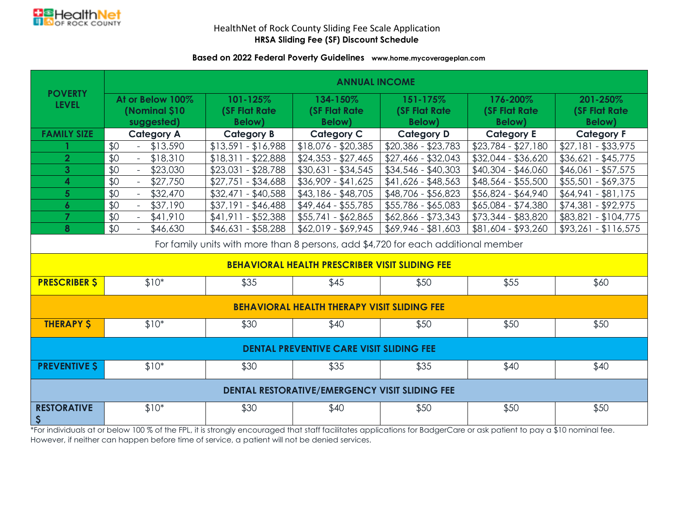

## HealthNet of Rock County Sliding Fee Scale Application **HRSA Sliding Fee (SF) Discount Schedule**

### **Based on 2022 Federal Poverty Guidelines www.home.mycoverageplan.com**

|                                                                                   | <b>ANNUAL INCOME</b>                   |                       |                                                       |                       |                       |                       |  |  |  |
|-----------------------------------------------------------------------------------|----------------------------------------|-----------------------|-------------------------------------------------------|-----------------------|-----------------------|-----------------------|--|--|--|
| <b>POVERTY</b>                                                                    | At or Below 100%                       | 101-125%              | 134-150%                                              | 151-175%              | 176-200%              | 201-250%              |  |  |  |
| <b>LEVEL</b>                                                                      | (Nominal \$10                          | <b>(SF Flat Rate)</b> | <b>(SF Flat Rate)</b>                                 | <b>(SF Flat Rate)</b> | <b>(SF Flat Rate)</b> | <b>(SF Flat Rate)</b> |  |  |  |
|                                                                                   | suggested)                             | <b>Below</b> )        | <b>Below</b> )                                        | <b>Below</b> )        | <b>Below</b> )        | <b>Below</b> )        |  |  |  |
| <b>FAMILY SIZE</b>                                                                | <b>Category A</b>                      | <b>Category B</b>     | <b>Category C</b>                                     | <b>Category D</b>     | <b>Category E</b>     | <b>Category F</b>     |  |  |  |
|                                                                                   | \$0<br>\$13,590<br>$\omega_{\rm{eff}}$ | $$13,591 - $16,988$   | $$18,076 - $20,385$                                   | $$20,386 - $23,783$   | $$23,784 - $27,180$   | $$27,181 - $33,975$   |  |  |  |
| $\overline{2}$                                                                    | \$0<br>\$18,310                        | $$18,311 - $22,888$   | $$24,353 - $27,465$                                   | $$27,466 - $32,043$   | $$32,044 - $36,620$   | $$36,621 - $45,775$   |  |  |  |
| $\mathbf{3}$                                                                      | \$0<br>\$23,030<br>$\sim$              | $$23,031 - $28,788$   | $$30,631 - $34,545$                                   | $$34,546 - $40,303$   | $$40,304 - $46,060$   | $$46,061 - $57,575$   |  |  |  |
| 4                                                                                 | \$0<br>\$27,750<br>$\omega_{\rm{eff}}$ | $$27,751 - $34,688$   | $$36,909 - $41,625$                                   | \$41,626 - \$48,563   | $$48,564 - $55,500$   | $$55,501 - $69,375$   |  |  |  |
| 5 <sup>5</sup>                                                                    | \$0<br>\$32,470<br>$\omega_{\rm{max}}$ | $$32,471 - $40,588$   | $$43,186 - $48,705$                                   | \$48,706 - \$56,823   | $$56,824 - $64,940$   | $$64,941 - $81,175$   |  |  |  |
| $\boldsymbol{6}$                                                                  | \$0<br>\$37,190                        | $$37,191 - $46,488$   | $$49,464 - $55,785$                                   | $$55,786 - $65,083$   | $$65,084 - $74,380$   | $$74,381 - $92,975$   |  |  |  |
| $\overline{7}$                                                                    | \$0<br>\$41,910                        | $$41,911 - $52,388$   | $$55,741 - $62,865$                                   | $$62,866 - $73,343$   | \$73,344 - \$83,820   | $$83,821 - $104,775$  |  |  |  |
| 8                                                                                 | \$0<br>\$46,630                        | $$46,631 - $58,288$   | $$62,019 - $69,945$                                   | \$69,946 - \$81,603   | \$81,604 - \$93,260   | $$93,261 - $116,575$  |  |  |  |
| For family units with more than 8 persons, add \$4,720 for each additional member |                                        |                       |                                                       |                       |                       |                       |  |  |  |
|                                                                                   |                                        |                       | <b>BEHAVIORAL HEALTH PRESCRIBER VISIT SLIDING FEE</b> |                       |                       |                       |  |  |  |
| <b>PRESCRIBER \$</b><br>$$10*$                                                    |                                        | \$35                  | \$45                                                  | \$50                  | \$55                  | \$60                  |  |  |  |
| <b>BEHAVIORAL HEALTH THERAPY VISIT SLIDING FEE</b>                                |                                        |                       |                                                       |                       |                       |                       |  |  |  |
| <b>THERAPY \$</b>                                                                 | $$10*$<br>\$30<br>\$40<br>\$50<br>\$50 |                       | \$50                                                  |                       |                       |                       |  |  |  |
| <b>DENTAL PREVENTIVE CARE VISIT SLIDING FEE</b>                                   |                                        |                       |                                                       |                       |                       |                       |  |  |  |
| <b>PREVENTIVE S</b><br>$$10*$                                                     |                                        | \$30                  | \$35                                                  | \$35                  | \$40                  | \$40                  |  |  |  |
| <b>DENTAL RESTORATIVE/EMERGENCY VISIT SLIDING FEE</b>                             |                                        |                       |                                                       |                       |                       |                       |  |  |  |
| <b>RESTORATIVE</b><br>\$                                                          | $$10*$                                 | \$30                  | \$40                                                  | \$50                  | \$50                  | \$50                  |  |  |  |

\*For individuals at or below 100 % of the FPL, it is strongly encouraged that staff facilitates applications for BadgerCare or ask patient to pay a \$10 nominal fee. However, if neither can happen before time of service, a patient will not be denied services.